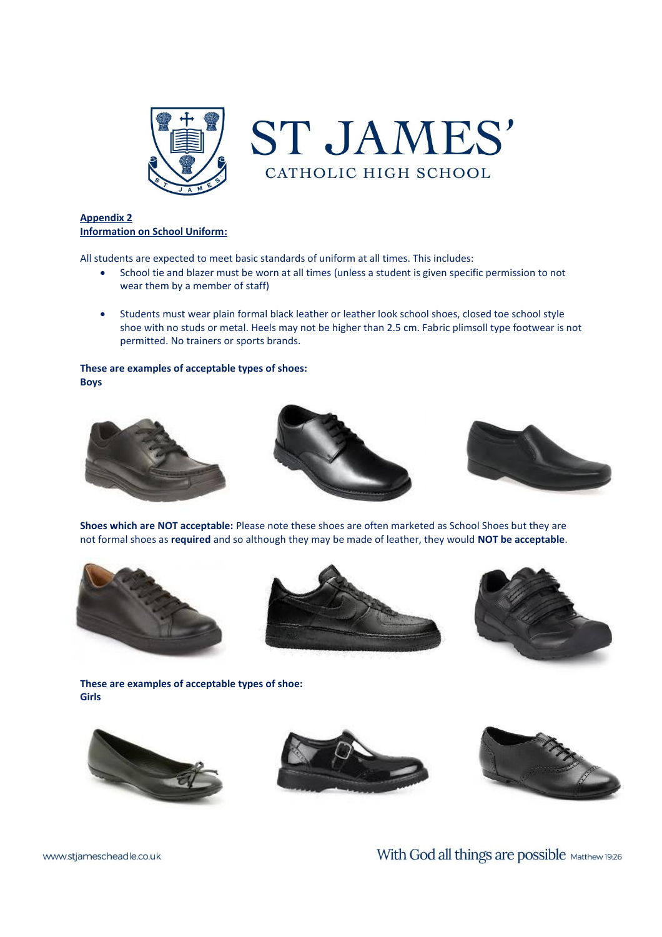

## **Appendix 2 Information on School Uniform:**

All students are expected to meet basic standards of uniform at all times. This includes:

- School tie and blazer must be worn at all times (unless a student is given specific permission to not wear them by a member of staff)
- Students must wear plain formal black leather or leather look school shoes, closed toe school style shoe with no studs or metal. Heels may not be higher than 2.5 cm. Fabric plimsoll type footwear is not permitted. No trainers or sports brands.

#### **These are examples of acceptable types of shoes: Boys**







**Shoes which are NOT acceptable:** Please note these shoes are often marketed as School Shoes but they are not formal shoes as **required** and so although they may be made of leather, they would **NOT be acceptable**.







**These are examples of acceptable types of shoe: Girls**







With God all things are possible Matthew 19:26

www.stjamescheadle.co.uk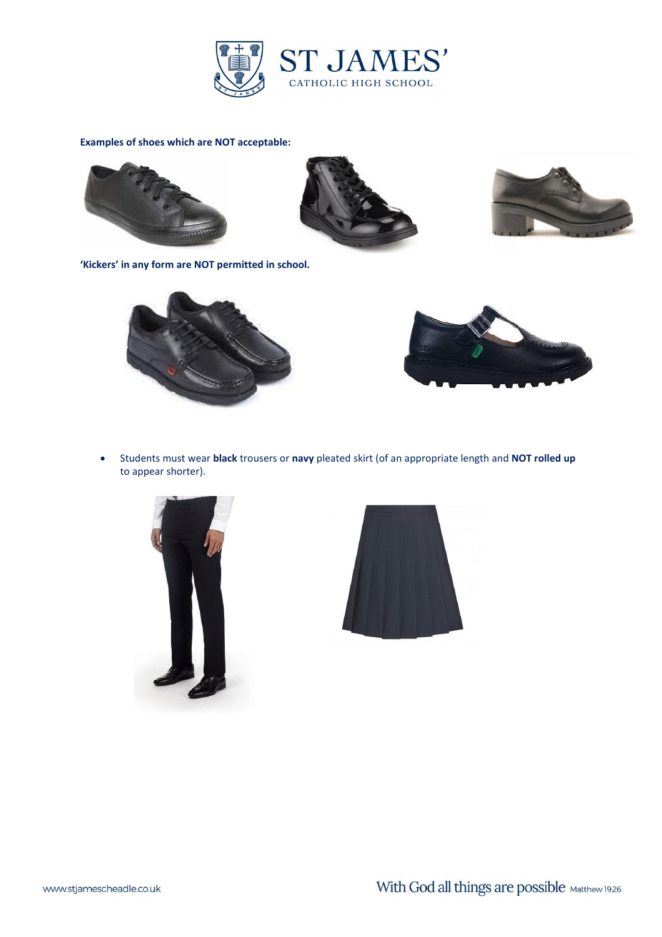

# **Examples of shoes which are NOT acceptable:**







**'Kickers' in any form are NOT permitted in school.**



• Students must wear **black** trousers or **navy** pleated skirt (of an appropriate length and **NOT rolled up** to appear shorter).



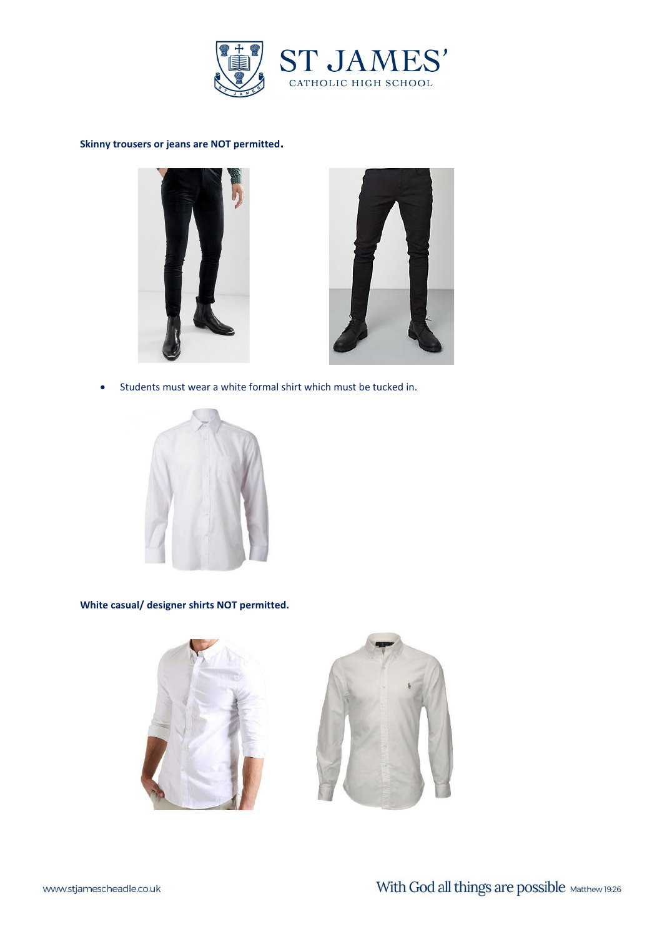

### **Skinny trousers or jeans are NOT permitted.**





• Students must wear a white formal shirt which must be tucked in.



**White casual/ designer shirts NOT permitted.**



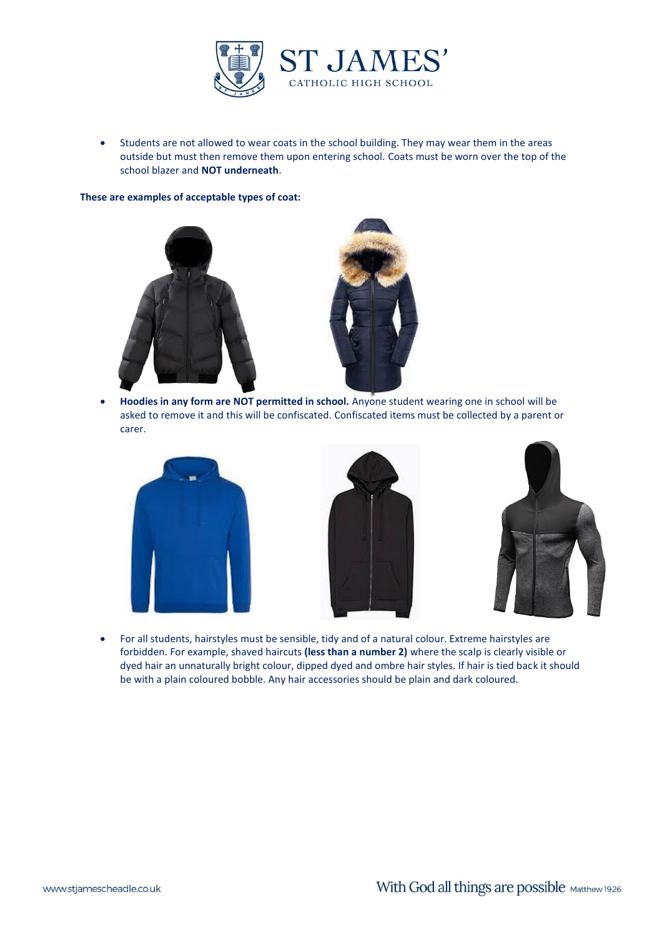

• Students are not allowed to wear coats in the school building. They may wear them in the areas outside but must then remove them upon entering school. Coats must be worn over the top of the school blazer and **NOT underneath**.

**These are examples of acceptable types of coat:**





• **Hoodies in any form are NOT permitted in school.** Anyone student wearing one in school will be asked to remove it and this will be confiscated. Confiscated items must be collected by a parent or carer.







• For all students, hairstyles must be sensible, tidy and of a natural colour. Extreme hairstyles are forbidden. For example, shaved haircuts **(less than a number 2)** where the scalp is clearly visible or dyed hair an unnaturally bright colour, dipped dyed and ombre hair styles. If hair is tied back it should be with a plain coloured bobble. Any hair accessories should be plain and dark coloured.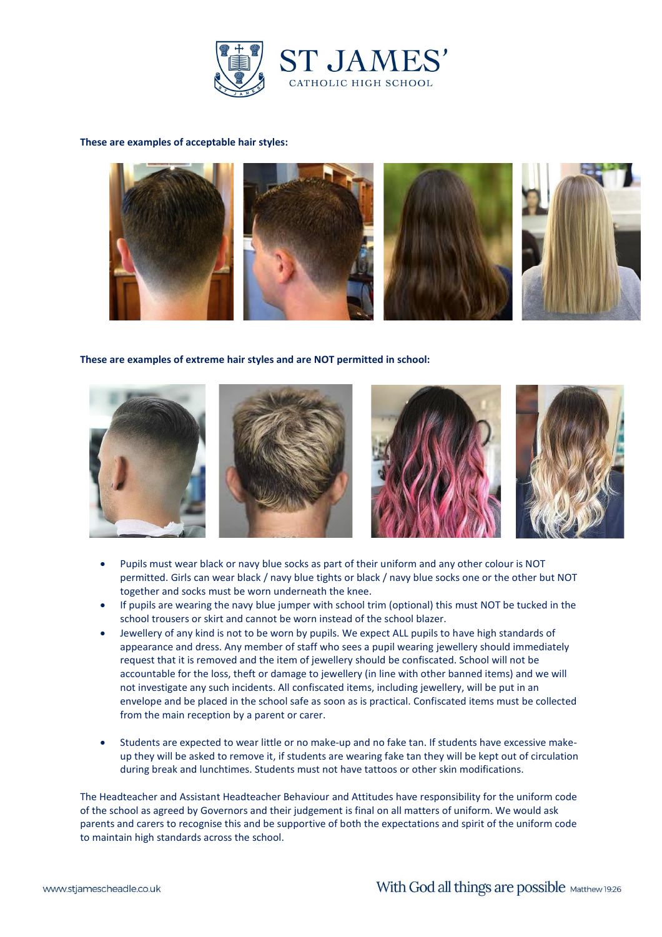

### **These are examples of acceptable hair styles:**



**These are examples of extreme hair styles and are NOT permitted in school:**



- Pupils must wear black or navy blue socks as part of their uniform and any other colour is NOT permitted. Girls can wear black / navy blue tights or black / navy blue socks one or the other but NOT together and socks must be worn underneath the knee.
- If pupils are wearing the navy blue jumper with school trim (optional) this must NOT be tucked in the school trousers or skirt and cannot be worn instead of the school blazer.
- Jewellery of any kind is not to be worn by pupils. We expect ALL pupils to have high standards of appearance and dress. Any member of staff who sees a pupil wearing jewellery should immediately request that it is removed and the item of jewellery should be confiscated. School will not be accountable for the loss, theft or damage to jewellery (in line with other banned items) and we will not investigate any such incidents. All confiscated items, including jewellery, will be put in an envelope and be placed in the school safe as soon as is practical. Confiscated items must be collected from the main reception by a parent or carer.
- Students are expected to wear little or no make-up and no fake tan. If students have excessive makeup they will be asked to remove it, if students are wearing fake tan they will be kept out of circulation during break and lunchtimes. Students must not have tattoos or other skin modifications.

The Headteacher and Assistant Headteacher Behaviour and Attitudes have responsibility for the uniform code of the school as agreed by Governors and their judgement is final on all matters of uniform. We would ask parents and carers to recognise this and be supportive of both the expectations and spirit of the uniform code to maintain high standards across the school.